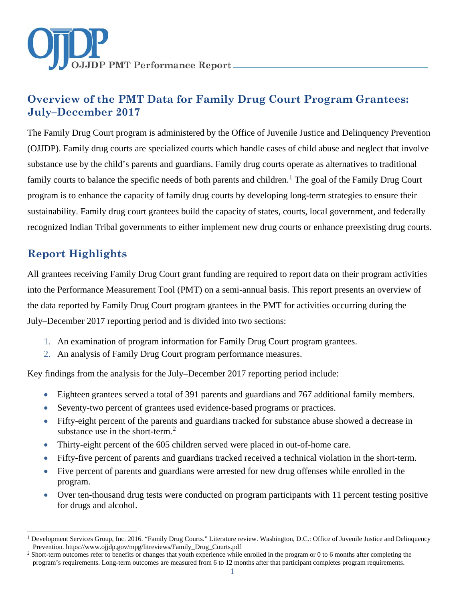

# **Overview of the PMT Data for Family Drug Court Program Grantees: July–December 2017**

The Family Drug Court program is administered by the Office of Juvenile Justice and Delinquency Prevention (OJJDP). Family drug courts are specialized courts which handle cases of child abuse and neglect that involve substance use by the child's parents and guardians. Family drug courts operate as alternatives to traditional family courts to balance the specific needs of both parents and children.<sup>[1](#page-0-0)</sup> The goal of the Family Drug Court program is to enhance the capacity of family drug courts by developing long-term strategies to ensure their sustainability. Family drug court grantees build the capacity of states, courts, local government, and federally recognized Indian Tribal governments to either implement new drug courts or enhance preexisting drug courts.

# **Report Highlights**

All grantees receiving Family Drug Court grant funding are required to report data on their program activities into the Performance Measurement Tool (PMT) on a semi-annual basis. This report presents an overview of the data reported by Family Drug Court program grantees in the PMT for activities occurring during the July–December 2017 reporting period and is divided into two sections:

- 1. An examination of program information for Family Drug Court program grantees.
- 2. An analysis of Family Drug Court program performance measures.

Key findings from the analysis for the July–December 2017 reporting period include:

- Eighteen grantees served a total of 391 parents and guardians and 767 additional family members.
- Seventy-two percent of grantees used evidence-based programs or practices.
- Fifty-eight percent of the parents and guardians tracked for substance abuse showed a decrease in substance use in the short-term.<sup>[2](#page-0-1)</sup>
- Thirty-eight percent of the 605 children served were placed in out-of-home care.
- Fifty-five percent of parents and guardians tracked received a technical violation in the short-term.
- Five percent of parents and guardians were arrested for new drug offenses while enrolled in the program.
- Over ten-thousand drug tests were conducted on program participants with 11 percent testing positive for drugs and alcohol.

<span id="page-0-0"></span> $\ddot{\phantom{a}}$ <sup>1</sup> Development Services Group, Inc. 2016. "Family Drug Courts." Literature review. Washington, D.C.: Office of Juvenile Justice and Delinquency Prevention. https://www.ojjdp.gov/mpg/litreviews/Family\_Drug\_Courts.pdf<br><sup>2</sup> Short-term outcomes refer to benefits or changes that youth experience while enrolled in the program or 0 to 6 months after completing the

<span id="page-0-1"></span>program's requirements. Long-term outcomes are measured from 6 to 12 months after that participant completes program requirements.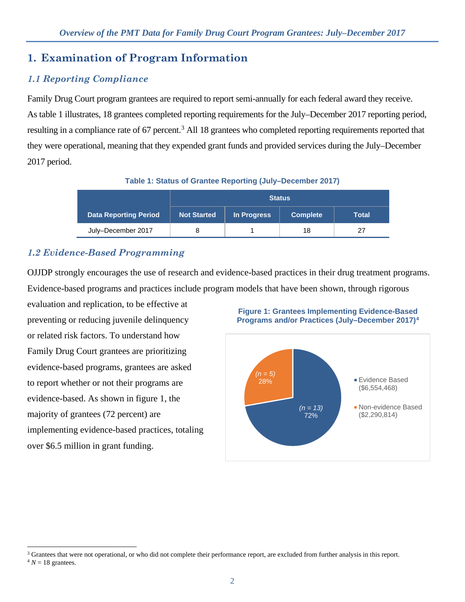# **1. Examination of Program Information**

# *1.1 Reporting Compliance*

Family Drug Court program grantees are required to report semi-annually for each federal award they receive. As table 1 illustrates, 18 grantees completed reporting requirements for the July–December 2017 reporting period, resulting in a compliance rate of 67 percent.<sup>[3](#page-1-0)</sup> All 18 grantees who completed reporting requirements reported that they were operational, meaning that they expended grant funds and provided services during the July–December 2017 period.

**Table 1: Status of Grantee Reporting (July–December 2017)** 

|                       | <b>Status</b>      |             |                 |       |
|-----------------------|--------------------|-------------|-----------------|-------|
| Data Reporting Period | <b>Not Started</b> | In Progress | <b>Complete</b> | Total |
| July-December 2017    |                    |             | 18              | 27    |

# *1.2 Evidence-Based Programming*

OJJDP strongly encourages the use of research and evidence-based practices in their drug treatment programs. Evidence-based programs and practices include program models that have been shown, through rigorous

evaluation and replication, to be effective at preventing or reducing juvenile delinquency or related risk factors. To understand how Family Drug Court grantees are prioritizing evidence-based programs, grantees are asked to report whether or not their programs are evidence-based. As shown in figure 1, the majority of grantees (72 percent) are implementing evidence-based practices, totaling over \$6.5 million in grant funding.

 $\overline{a}$ 





<span id="page-1-1"></span><span id="page-1-0"></span><sup>&</sup>lt;sup>3</sup> Grantees that were not operational, or who did not complete their performance report, are excluded from further analysis in this report.  $4 N = 18$  grantees.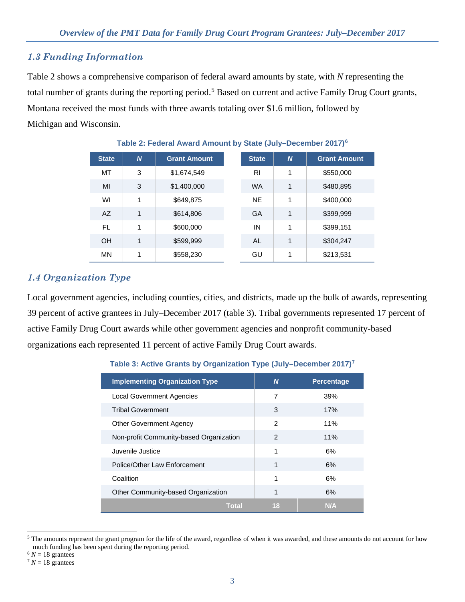### *1.3 Funding Information*

Table 2 shows a comprehensive comparison of federal award amounts by state, with *N* representing the total number of grants during the reporting period.<sup>[5](#page-2-0)</sup> Based on current and active Family Drug Court grants, Montana received the most funds with three awards totaling over \$1.6 million, followed by Michigan and Wisconsin.

| <b>State</b> | $\boldsymbol{N}$ | <b>Grant Amount</b> | <b>State</b> | N | <b>Grant Amount</b> |
|--------------|------------------|---------------------|--------------|---|---------------------|
| МT           | 3                | \$1,674,549         | RI           | 1 | \$550,000           |
| MI           | 3                | \$1,400,000         | <b>WA</b>    | 1 | \$480,895           |
| WI           | 1                | \$649,875           | <b>NE</b>    | 1 | \$400,000           |
| AZ           | 1                | \$614,806           | GA           | 1 | \$399,999           |
| FL.          | 1                | \$600,000           | IN           | 1 | \$399,151           |
| OH           | 1                | \$599,999           | AL           | 1 | \$304,247           |
| <b>MN</b>    | 1                | \$558,230           | GU           | 1 | \$213,531           |

### **Table 2: Federal Award Amount by State (July–December 2017)[6](#page-2-1)**

## *1.4 Organization Type*

Local government agencies, including counties, cities, and districts, made up the bulk of awards, representing 39 percent of active grantees in July–December 2017 (table 3). Tribal governments represented 17 percent of active Family Drug Court awards while other government agencies and nonprofit community-based organizations each represented 11 percent of active Family Drug Court awards.

# **Table 3: Active Grants by Organization Type (July–December 2017)[7](#page-2-2)**

| <b>Implementing Organization Type</b>   | N             | <b>Percentage</b> |
|-----------------------------------------|---------------|-------------------|
| <b>Local Government Agencies</b>        | 7             | 39%               |
| <b>Tribal Government</b>                | 3             | 17%               |
| <b>Other Government Agency</b>          | 2             | 11%               |
| Non-profit Community-based Organization | $\mathcal{P}$ | 11%               |
| Juvenile Justice                        | 1             | 6%                |
| Police/Other Law Enforcement            | 1             | 6%                |
| Coalition                               | 1             | 6%                |
| Other Community-based Organization      | 1             | 6%                |
| Total                                   | 18            | N/A               |

<span id="page-2-0"></span> $\ddot{\phantom{a}}$  $5$  The amounts represent the grant program for the life of the award, regardless of when it was awarded, and these amounts do not account for how much funding has been spent during the reporting period.

<span id="page-2-1"></span> $6 N = 18$  grantees

<span id="page-2-2"></span> $7 N = 18$  grantees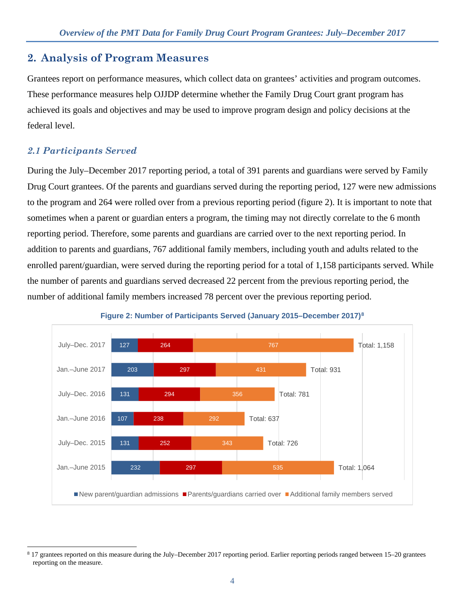# **2. Analysis of Program Measures**

Grantees report on performance measures, which collect data on grantees' activities and program outcomes. These performance measures help OJJDP determine whether the Family Drug Court grant program has achieved its goals and objectives and may be used to improve program design and policy decisions at the federal level.

# *2.1 Participants Served*

 $\overline{a}$ 

During the July–December 2017 reporting period, a total of 391 parents and guardians were served by Family Drug Court grantees. Of the parents and guardians served during the reporting period, 127 were new admissions to the program and 264 were rolled over from a previous reporting period (figure 2). It is important to note that sometimes when a parent or guardian enters a program, the timing may not directly correlate to the 6 month reporting period. Therefore, some parents and guardians are carried over to the next reporting period. In addition to parents and guardians, 767 additional family members, including youth and adults related to the enrolled parent/guardian, were served during the reporting period for a total of 1,158 participants served. While the number of parents and guardians served decreased 22 percent from the previous reporting period, the number of additional family members increased 78 percent over the previous reporting period.



### **Figure 2: Number of Participants Served (January 2015–December 2017)[8](#page-3-0)**

<span id="page-3-0"></span><sup>8</sup> 17 grantees reported on this measure during the July–December 2017 reporting period. Earlier reporting periods ranged between 15–20 grantees reporting on the measure.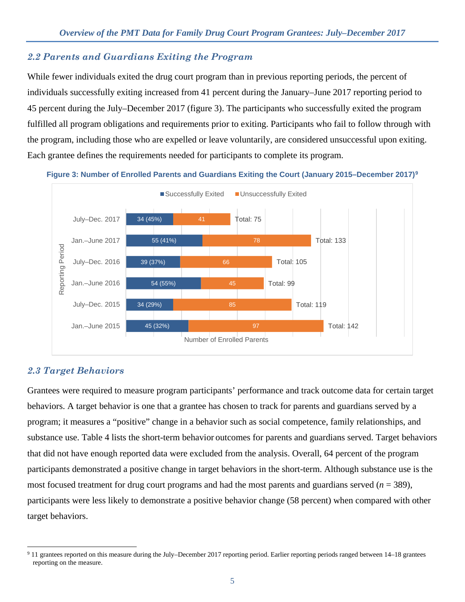### *2.2 Parents and Guardians Exiting the Program*

While fewer individuals exited the drug court program than in previous reporting periods, the percent of individuals successfully exiting increased from 41 percent during the January–June 2017 reporting period to 45 percent during the July–December 2017 (figure 3). The participants who successfully exited the program fulfilled all program obligations and requirements prior to exiting. Participants who fail to follow through with the program, including those who are expelled or leave voluntarily, are considered unsuccessful upon exiting. Each grantee defines the requirements needed for participants to complete its program.



#### **Figure 3: Number of Enrolled Parents and Guardians Exiting the Court (January 2015–December 2017)[9](#page-4-0)**

### *2.3 Target Behaviors*

Grantees were required to measure program participants' performance and track outcome data for certain target behaviors. A target behavior is one that a grantee has chosen to track for parents and guardians served by a program; it measures a "positive" change in a behavior such as social competence, family relationships, and substance use. Table 4 lists the short-term behavior outcomes for parents and guardians served. Target behaviors that did not have enough reported data were excluded from the analysis. Overall, 64 percent of the program participants demonstrated a positive change in target behaviors in the short-term. Although substance use is the most focused treatment for drug court programs and had the most parents and guardians served  $(n = 389)$ , participants were less likely to demonstrate a positive behavior change (58 percent) when compared with other target behaviors.

<span id="page-4-0"></span> $\overline{a}$ <sup>9</sup> 11 grantees reported on this measure during the July–December 2017 reporting period. Earlier reporting periods ranged between 14–18 grantees reporting on the measure.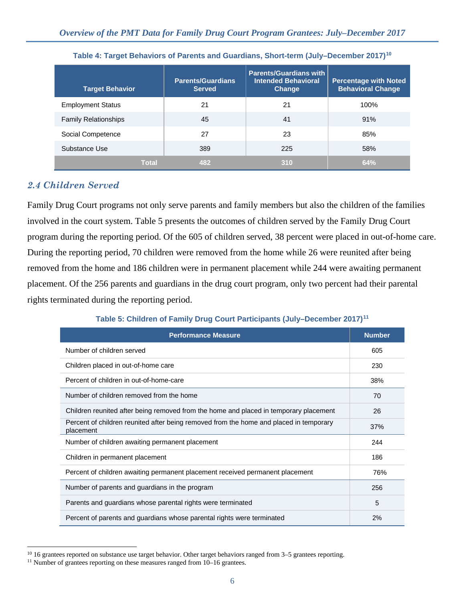| <b>Target Behavior</b>      | <b>Parents/Guardians</b><br><b>Served</b> | <b>Parents/Guardians with</b><br><b>Intended Behavioral</b><br>Change | <b>Percentage with Noted</b><br><b>Behavioral Change</b> |
|-----------------------------|-------------------------------------------|-----------------------------------------------------------------------|----------------------------------------------------------|
| <b>Employment Status</b>    | 21                                        | 21                                                                    | 100%                                                     |
| <b>Family Relationships</b> | 45                                        | 41                                                                    | 91%                                                      |
| Social Competence           | 27                                        | 23                                                                    | 85%                                                      |
| Substance Use               | 389                                       | 225                                                                   | 58%                                                      |
| <b>Total</b>                | 482                                       | 310                                                                   | 64%                                                      |

### **Table 4: Target Behaviors of Parents and Guardians, Short-term (July–December 2017[\)10](#page-5-0)**

### *2.4 Children Served*

Family Drug Court programs not only serve parents and family members but also the children of the families involved in the court system. Table 5 presents the outcomes of children served by the Family Drug Court program during the reporting period. Of the 605 of children served, 38 percent were placed in out-of-home care. During the reporting period, 70 children were removed from the home while 26 were reunited after being removed from the home and 186 children were in permanent placement while 244 were awaiting permanent placement. Of the 256 parents and guardians in the drug court program, only two percent had their parental rights terminated during the reporting period.

# **Performance Measure Number Number** Number of children served 605 Children placed in out-of-home care 230 Percent of children in out-of-home-care 38% Number of children removed from the home 70 and 70 and 70 and 70 and 70 and 70 and 70 and 70 and 70 and 70 and 70 and 70 and 70 and 70 and 70 and 70 and 70 and 70 and 70 and 70 and 70 and 70 and 70 and 70 and 70 and 70 and Children reunited after being removed from the home and placed in temporary placement 26 Percent of children reunited after being removed from the home and placed in temporary placement 37% Number of children awaiting permanent placement 244 Children in permanent placement 186 Percent of children awaiting permanent placement received permanent placement 76% Number of parents and guardians in the program 256 Parents and guardians whose parental rights were terminated 5  $\sim$  5 Percent of parents and guardians whose parental rights were terminated 2%

### **Table 5: Children of Family Drug Court Participants (July–December 2017)[11](#page-5-1)**

 $\overline{a}$ 

<span id="page-5-0"></span><sup>&</sup>lt;sup>10</sup> 16 grantees reported on substance use target behavior. Other target behaviors ranged from 3–5 grantees reporting.

<span id="page-5-1"></span><sup>&</sup>lt;sup>11</sup> Number of grantees reporting on these measures ranged from 10–16 grantees.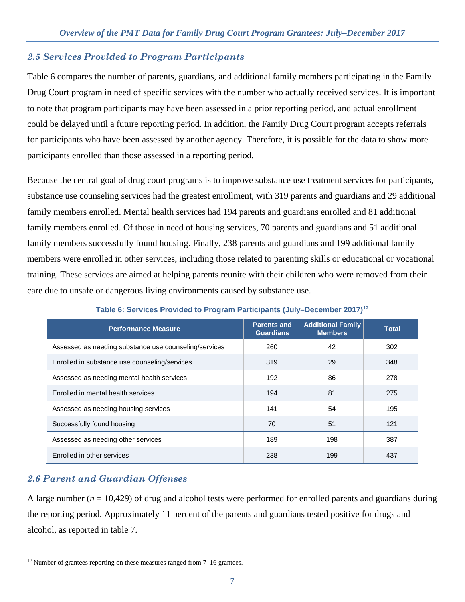### *2.5 Services Provided to Program Participants*

Table 6 compares the number of parents, guardians, and additional family members participating in the Family Drug Court program in need of specific services with the number who actually received services. It is important to note that program participants may have been assessed in a prior reporting period, and actual enrollment could be delayed until a future reporting period. In addition, the Family Drug Court program accepts referrals for participants who have been assessed by another agency. Therefore, it is possible for the data to show more participants enrolled than those assessed in a reporting period.

Because the central goal of drug court programs is to improve substance use treatment services for participants, substance use counseling services had the greatest enrollment, with 319 parents and guardians and 29 additional family members enrolled. Mental health services had 194 parents and guardians enrolled and 81 additional family members enrolled. Of those in need of housing services, 70 parents and guardians and 51 additional family members successfully found housing. Finally, 238 parents and guardians and 199 additional family members were enrolled in other services, including those related to parenting skills or educational or vocational training. These services are aimed at helping parents reunite with their children who were removed from their care due to unsafe or dangerous living environments caused by substance use.

| <b>Performance Measure</b>                            | <b>Parents and</b><br><b>Guardians</b> | <b>Additional Family</b><br><b>Members</b> | Total |
|-------------------------------------------------------|----------------------------------------|--------------------------------------------|-------|
| Assessed as needing substance use counseling/services | 260                                    | 42                                         | 302   |
| Enrolled in substance use counseling/services         | 319                                    | 29                                         | 348   |
| Assessed as needing mental health services            | 192                                    | 86                                         | 278   |
| Enrolled in mental health services                    | 194                                    | 81                                         | 275   |
| Assessed as needing housing services                  | 141                                    | 54                                         | 195   |
| Successfully found housing                            | 70                                     | 51                                         | 121   |
| Assessed as needing other services                    | 189                                    | 198                                        | 387   |
| Enrolled in other services                            | 238                                    | 199                                        | 437   |

**Table 6: Services Provided to Program Participants (July–December 2017)[12](#page-6-0)**

# *2.6 Parent and Guardian Offenses*

 $\ddot{\phantom{a}}$ 

A large number  $(n = 10,429)$  of drug and alcohol tests were performed for enrolled parents and guardians during the reporting period. Approximately 11 percent of the parents and guardians tested positive for drugs and alcohol, as reported in table 7.

<span id="page-6-0"></span> $12$  Number of grantees reporting on these measures ranged from  $7-16$  grantees.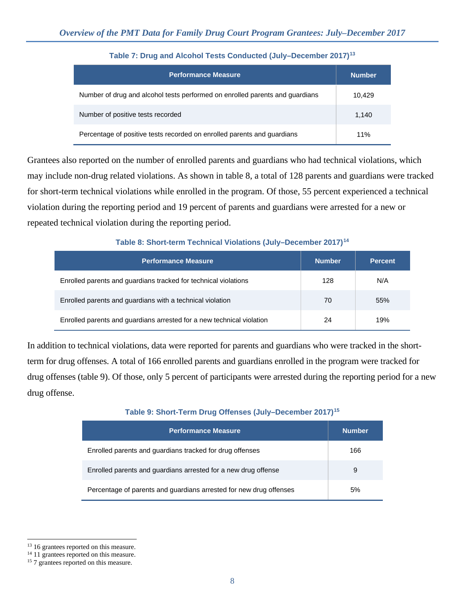| <b>Performance Measure</b>                                                   | <b>Number</b> |
|------------------------------------------------------------------------------|---------------|
| Number of drug and alcohol tests performed on enrolled parents and guardians | 10.429        |
| Number of positive tests recorded                                            | 1.140         |
| Percentage of positive tests recorded on enrolled parents and guardians      | 11%           |

### **Table 7: Drug and Alcohol Tests Conducted (July–December 2017)[13](#page-7-0)**

Grantees also reported on the number of enrolled parents and guardians who had technical violations, which may include non-drug related violations. As shown in table 8, a total of 128 parents and guardians were tracked for short-term technical violations while enrolled in the program. Of those, 55 percent experienced a technical violation during the reporting period and 19 percent of parents and guardians were arrested for a new or repeated technical violation during the reporting period.

### **Table 8: Short-term Technical Violations (July–December 2017)[14](#page-7-1)**

| <b>Performance Measure</b>                                            | <b>Number</b> | <b>Percent</b> |
|-----------------------------------------------------------------------|---------------|----------------|
| Enrolled parents and guardians tracked for technical violations       | 128           | N/A            |
| Enrolled parents and quardians with a technical violation             | 70            | 55%            |
| Enrolled parents and guardians arrested for a new technical violation | 24            | 19%            |

In addition to technical violations, data were reported for parents and guardians who were tracked in the shortterm for drug offenses. A total of 166 enrolled parents and guardians enrolled in the program were tracked for drug offenses (table 9). Of those, only 5 percent of participants were arrested during the reporting period for a new drug offense.

### **Table 9: Short-Term Drug Offenses (July–December 2017)[15](#page-7-2)**

| <b>Performance Measure</b>                                         | <b>Number</b> |
|--------------------------------------------------------------------|---------------|
| Enrolled parents and guardians tracked for drug offenses           | 166           |
| Enrolled parents and quardians arrested for a new drug offense     | 9             |
| Percentage of parents and guardians arrested for new drug offenses | 5%            |

 $\overline{a}$ 

<span id="page-7-0"></span><sup>&</sup>lt;sup>13</sup> 16 grantees reported on this measure.

<span id="page-7-1"></span><sup>&</sup>lt;sup>14</sup> 11 grantees reported on this measure.

<span id="page-7-2"></span><sup>&</sup>lt;sup>15</sup> 7 grantees reported on this measure.